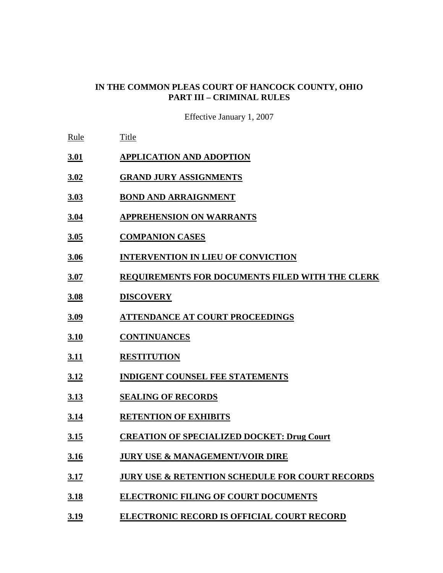#### **IN THE COMMON PLEAS COURT OF HANCOCK COUNTY, OHIO PART III – CRIMINAL RULES**

Effective January 1, 2007

- Rule Title
- **3.01 APPLICATION AND ADOPTION**
- **3.02 GRAND JURY ASSIGNMENTS**
- **3.03 BOND AND ARRAIGNMENT**
- **3.04 APPREHENSION ON WARRANTS**
- **3.05 COMPANION CASES**
- **3.06 INTERVENTION IN LIEU OF CONVICTION**
- **3.07 REQUIREMENTS FOR DOCUMENTS FILED WITH THE CLERK**
- **3.08 DISCOVERY**
- **3.09 ATTENDANCE AT COURT PROCEEDINGS**
- **3.10 CONTINUANCES**
- **3.11 RESTITUTION**
- **3.12 INDIGENT COUNSEL FEE STATEMENTS**
- **3.13 SEALING OF RECORDS**
- **3.14 RETENTION OF EXHIBITS**
- **3.15 CREATION OF SPECIALIZED DOCKET: Drug Court**
- **3.16 JURY USE & MANAGEMENT/VOIR DIRE**
- **3.17 JURY USE & RETENTION SCHEDULE FOR COURT RECORDS**
- **3.18 ELECTRONIC FILING OF COURT DOCUMENTS**
- **3.19 ELECTRONIC RECORD IS OFFICIAL COURT RECORD**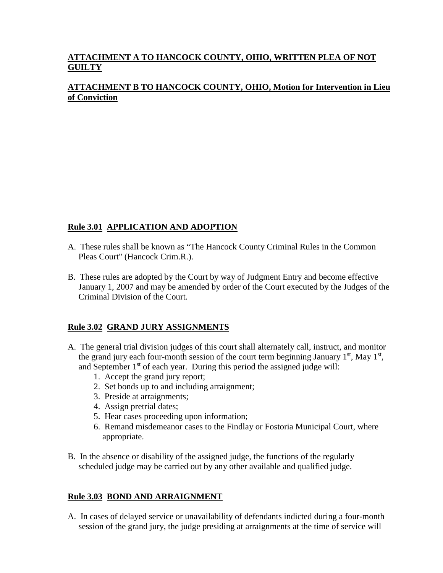# **ATTACHMENT A TO HANCOCK COUNTY, OHIO, WRITTEN PLEA OF NOT GUILTY**

## **ATTACHMENT B TO HANCOCK COUNTY, OHIO, Motion for Intervention in Lieu of Conviction**

### **Rule 3.01 APPLICATION AND ADOPTION**

- A. These rules shall be known as "The Hancock County Criminal Rules in the Common Pleas Court" (Hancock Crim.R.).
- B. These rules are adopted by the Court by way of Judgment Entry and become effective January 1, 2007 and may be amended by order of the Court executed by the Judges of the Criminal Division of the Court.

#### **Rule 3.02 GRAND JURY ASSIGNMENTS**

- A. The general trial division judges of this court shall alternately call, instruct, and monitor the grand jury each four-month session of the court term beginning January  $1<sup>st</sup>$ , May  $1<sup>st</sup>$ , and September  $1<sup>st</sup>$  of each year. During this period the assigned judge will:
	- 1. Accept the grand jury report;
	- 2. Set bonds up to and including arraignment;
	- 3. Preside at arraignments;
	- 4. Assign pretrial dates;
	- 5. Hear cases proceeding upon information;
	- 6. Remand misdemeanor cases to the Findlay or Fostoria Municipal Court, where appropriate.
- B. In the absence or disability of the assigned judge, the functions of the regularly scheduled judge may be carried out by any other available and qualified judge.

#### **Rule 3.03 BOND AND ARRAIGNMENT**

A. In cases of delayed service or unavailability of defendants indicted during a four-month session of the grand jury, the judge presiding at arraignments at the time of service will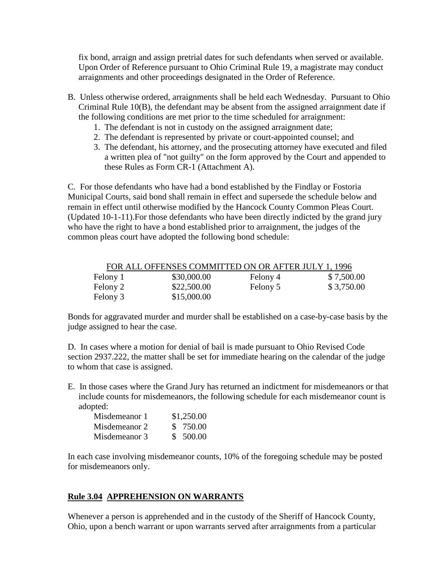fix bond, arraign and assign pretrial dates for such defendants when served or available. Upon Order of Reference pursuant to Ohio Criminal Rule 19, a magistrate may conduct arraignments and other proceedings designated in the Order of Reference.

- B. Unless otherwise ordered, arraignments shall be held each Wednesday. Pursuant to Ohio Criminal Rule 10(B), the defendant may be absent from the assigned arraignment date if the following conditions are met prior to the time scheduled for arraignment:
	- 1. The defendant is not in custody on the assigned arraignment date;
	- 2. The defendant is represented by private or court-appointed counsel; and
	- 3. The defendant, his attorney, and the prosecuting attorney have executed and filed a written plea of "not guilty" on the form approved by the Court and appended to these Rules as Form CR-1 (Attachment A).

C. For those defendants who have had a bond established by the Findlay or Fostoria Municipal Courts, said bond shall remain in effect and supersede the schedule below and remain in effect until otherwise modified by the Hancock County Common Pleas Court. (Updated 10-1-11).For those defendants who have been directly indicted by the grand jury who have the right to have a bond established prior to arraignment, the judges of the common pleas court have adopted the following bond schedule:

| FOR ALL OFFENSES COMMITTED ON OR AFTER JULY 1, 1996 |             |          |            |  |
|-----------------------------------------------------|-------------|----------|------------|--|
| Felony 1                                            | \$30,000.00 | Felony 4 | \$7,500.00 |  |
| Felony 2                                            | \$22,500.00 | Felony 5 | \$3,750.00 |  |
| Felony 3                                            | \$15,000.00 |          |            |  |

Bonds for aggravated murder and murder shall be established on a case-by-case basis by the judge assigned to hear the case.

D. In cases where a motion for denial of bail is made pursuant to Ohio Revised Code section 2937.222, the matter shall be set for immediate hearing on the calendar of the judge to whom that case is assigned.

E. In those cases where the Grand Jury has returned an indictment for misdemeanors or that include counts for misdemeanors, the following schedule for each misdemeanor count is adopted:

| Misdemeanor 1 | \$1,250.00 |
|---------------|------------|
| Misdemeanor 2 | \$750.00   |
| Misdemeanor 3 | \$500.00   |

In each case involving misdemeanor counts, 10% of the foregoing schedule may be posted for misdemeanors only.

#### **Rule 3.04 APPREHENSION ON WARRANTS**

Whenever a person is apprehended and in the custody of the Sheriff of Hancock County, Ohio, upon a bench warrant or upon warrants served after arraignments from a particular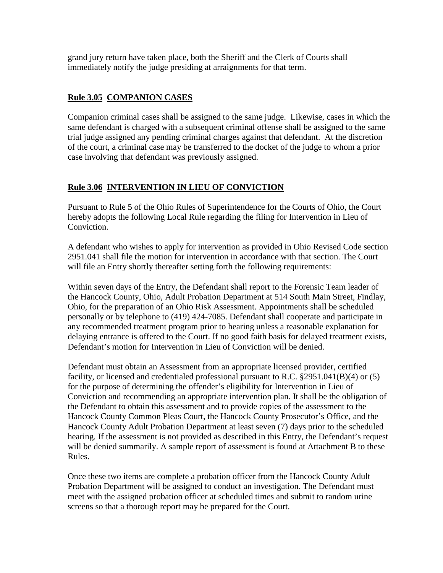grand jury return have taken place, both the Sheriff and the Clerk of Courts shall immediately notify the judge presiding at arraignments for that term.

### **Rule 3.05 COMPANION CASES**

Companion criminal cases shall be assigned to the same judge. Likewise, cases in which the same defendant is charged with a subsequent criminal offense shall be assigned to the same trial judge assigned any pending criminal charges against that defendant. At the discretion of the court, a criminal case may be transferred to the docket of the judge to whom a prior case involving that defendant was previously assigned.

### **Rule 3.06 INTERVENTION IN LIEU OF CONVICTION**

Pursuant to Rule 5 of the Ohio Rules of Superintendence for the Courts of Ohio, the Court hereby adopts the following Local Rule regarding the filing for Intervention in Lieu of Conviction.

A defendant who wishes to apply for intervention as provided in Ohio Revised Code section 2951.041 shall file the motion for intervention in accordance with that section. The Court will file an Entry shortly thereafter setting forth the following requirements:

Within seven days of the Entry, the Defendant shall report to the Forensic Team leader of the Hancock County, Ohio, Adult Probation Department at 514 South Main Street, Findlay, Ohio, for the preparation of an Ohio Risk Assessment. Appointments shall be scheduled personally or by telephone to (419) 424-7085. Defendant shall cooperate and participate in any recommended treatment program prior to hearing unless a reasonable explanation for delaying entrance is offered to the Court. If no good faith basis for delayed treatment exists, Defendant's motion for Intervention in Lieu of Conviction will be denied.

Defendant must obtain an Assessment from an appropriate licensed provider, certified facility, or licensed and credentialed professional pursuant to R.C. §2951.041(B)(4) or (5) for the purpose of determining the offender's eligibility for Intervention in Lieu of Conviction and recommending an appropriate intervention plan. It shall be the obligation of the Defendant to obtain this assessment and to provide copies of the assessment to the Hancock County Common Pleas Court, the Hancock County Prosecutor's Office, and the Hancock County Adult Probation Department at least seven (7) days prior to the scheduled hearing. If the assessment is not provided as described in this Entry, the Defendant's request will be denied summarily. A sample report of assessment is found at Attachment B to these Rules.

Once these two items are complete a probation officer from the Hancock County Adult Probation Department will be assigned to conduct an investigation. The Defendant must meet with the assigned probation officer at scheduled times and submit to random urine screens so that a thorough report may be prepared for the Court.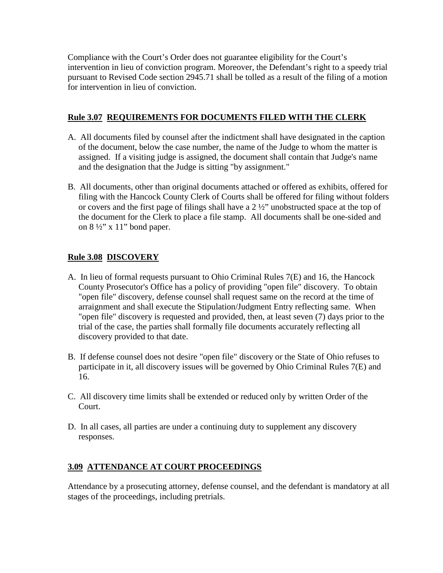Compliance with the Court's Order does not guarantee eligibility for the Court's intervention in lieu of conviction program. Moreover, the Defendant's right to a speedy trial pursuant to Revised Code section 2945.71 shall be tolled as a result of the filing of a motion for intervention in lieu of conviction.

### **Rule 3.07 REQUIREMENTS FOR DOCUMENTS FILED WITH THE CLERK**

- A. All documents filed by counsel after the indictment shall have designated in the caption of the document, below the case number, the name of the Judge to whom the matter is assigned. If a visiting judge is assigned, the document shall contain that Judge's name and the designation that the Judge is sitting "by assignment."
- B. All documents, other than original documents attached or offered as exhibits, offered for filing with the Hancock County Clerk of Courts shall be offered for filing without folders or covers and the first page of filings shall have a 2 ½" unobstructed space at the top of the document for the Clerk to place a file stamp. All documents shall be one-sided and on  $8\frac{1}{2}$ " x 11" bond paper.

### **Rule 3.08 DISCOVERY**

- A. In lieu of formal requests pursuant to Ohio Criminal Rules 7(E) and 16, the Hancock County Prosecutor's Office has a policy of providing "open file" discovery. To obtain "open file" discovery, defense counsel shall request same on the record at the time of arraignment and shall execute the Stipulation/Judgment Entry reflecting same. When "open file" discovery is requested and provided, then, at least seven (7) days prior to the trial of the case, the parties shall formally file documents accurately reflecting all discovery provided to that date.
- B. If defense counsel does not desire "open file" discovery or the State of Ohio refuses to participate in it, all discovery issues will be governed by Ohio Criminal Rules 7(E) and 16.
- C. All discovery time limits shall be extended or reduced only by written Order of the Court.
- D. In all cases, all parties are under a continuing duty to supplement any discovery responses.

#### **3.09 ATTENDANCE AT COURT PROCEEDINGS**

Attendance by a prosecuting attorney, defense counsel, and the defendant is mandatory at all stages of the proceedings, including pretrials.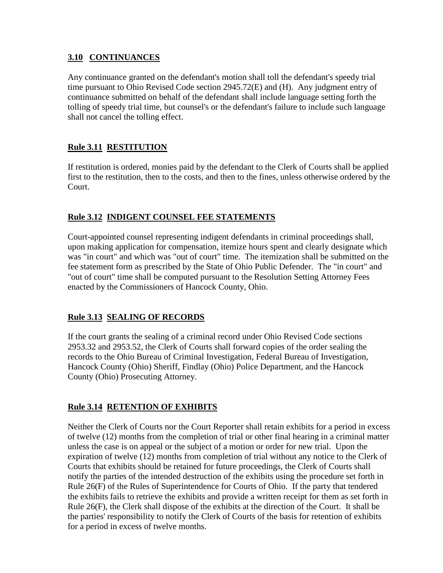#### **3.10 CONTINUANCES**

Any continuance granted on the defendant's motion shall toll the defendant's speedy trial time pursuant to Ohio Revised Code section 2945.72(E) and (H). Any judgment entry of continuance submitted on behalf of the defendant shall include language setting forth the tolling of speedy trial time, but counsel's or the defendant's failure to include such language shall not cancel the tolling effect.

# **Rule 3.11 RESTITUTION**

If restitution is ordered, monies paid by the defendant to the Clerk of Courts shall be applied first to the restitution, then to the costs, and then to the fines, unless otherwise ordered by the Court.

# **Rule 3.12 INDIGENT COUNSEL FEE STATEMENTS**

Court-appointed counsel representing indigent defendants in criminal proceedings shall, upon making application for compensation, itemize hours spent and clearly designate which was "in court" and which was "out of court" time. The itemization shall be submitted on the fee statement form as prescribed by the State of Ohio Public Defender. The "in court" and "out of court" time shall be computed pursuant to the Resolution Setting Attorney Fees enacted by the Commissioners of Hancock County, Ohio.

# **Rule 3.13 SEALING OF RECORDS**

If the court grants the sealing of a criminal record under Ohio Revised Code sections 2953.32 and 2953.52, the Clerk of Courts shall forward copies of the order sealing the records to the Ohio Bureau of Criminal Investigation, Federal Bureau of Investigation, Hancock County (Ohio) Sheriff, Findlay (Ohio) Police Department, and the Hancock County (Ohio) Prosecuting Attorney.

# **Rule 3.14 RETENTION OF EXHIBITS**

Neither the Clerk of Courts nor the Court Reporter shall retain exhibits for a period in excess of twelve (12) months from the completion of trial or other final hearing in a criminal matter unless the case is on appeal or the subject of a motion or order for new trial. Upon the expiration of twelve (12) months from completion of trial without any notice to the Clerk of Courts that exhibits should be retained for future proceedings, the Clerk of Courts shall notify the parties of the intended destruction of the exhibits using the procedure set forth in Rule 26(F) of the Rules of Superintendence for Courts of Ohio. If the party that tendered the exhibits fails to retrieve the exhibits and provide a written receipt for them as set forth in Rule 26(F), the Clerk shall dispose of the exhibits at the direction of the Court. It shall be the parties' responsibility to notify the Clerk of Courts of the basis for retention of exhibits for a period in excess of twelve months.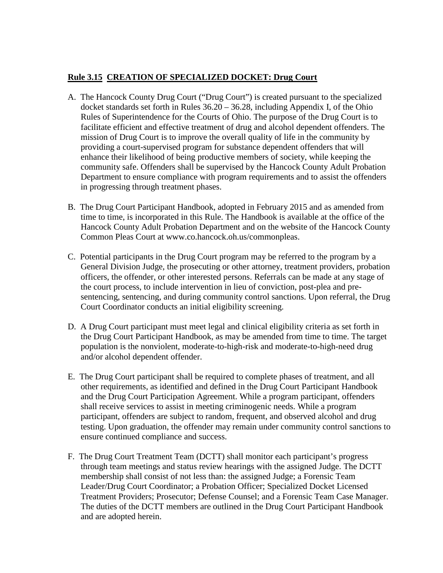## **Rule 3.15 CREATION OF SPECIALIZED DOCKET: Drug Court**

- A. The Hancock County Drug Court ("Drug Court") is created pursuant to the specialized docket standards set forth in Rules 36.20 – 36.28, including Appendix I, of the Ohio Rules of Superintendence for the Courts of Ohio. The purpose of the Drug Court is to facilitate efficient and effective treatment of drug and alcohol dependent offenders. The mission of Drug Court is to improve the overall quality of life in the community by providing a court-supervised program for substance dependent offenders that will enhance their likelihood of being productive members of society, while keeping the community safe. Offenders shall be supervised by the Hancock County Adult Probation Department to ensure compliance with program requirements and to assist the offenders in progressing through treatment phases.
- B. The Drug Court Participant Handbook, adopted in February 2015 and as amended from time to time, is incorporated in this Rule. The Handbook is available at the office of the Hancock County Adult Probation Department and on the website of the Hancock County Common Pleas Court at www.co.hancock.oh.us/commonpleas.
- C. Potential participants in the Drug Court program may be referred to the program by a General Division Judge, the prosecuting or other attorney, treatment providers, probation officers, the offender, or other interested persons. Referrals can be made at any stage of the court process, to include intervention in lieu of conviction, post-plea and presentencing, sentencing, and during community control sanctions. Upon referral, the Drug Court Coordinator conducts an initial eligibility screening.
- D. A Drug Court participant must meet legal and clinical eligibility criteria as set forth in the Drug Court Participant Handbook, as may be amended from time to time. The target population is the nonviolent, moderate-to-high-risk and moderate-to-high-need drug and/or alcohol dependent offender.
- E. The Drug Court participant shall be required to complete phases of treatment, and all other requirements, as identified and defined in the Drug Court Participant Handbook and the Drug Court Participation Agreement. While a program participant, offenders shall receive services to assist in meeting criminogenic needs. While a program participant, offenders are subject to random, frequent, and observed alcohol and drug testing. Upon graduation, the offender may remain under community control sanctions to ensure continued compliance and success.
- F. The Drug Court Treatment Team (DCTT) shall monitor each participant's progress through team meetings and status review hearings with the assigned Judge. The DCTT membership shall consist of not less than: the assigned Judge; a Forensic Team Leader/Drug Court Coordinator; a Probation Officer; Specialized Docket Licensed Treatment Providers; Prosecutor; Defense Counsel; and a Forensic Team Case Manager. The duties of the DCTT members are outlined in the Drug Court Participant Handbook and are adopted herein.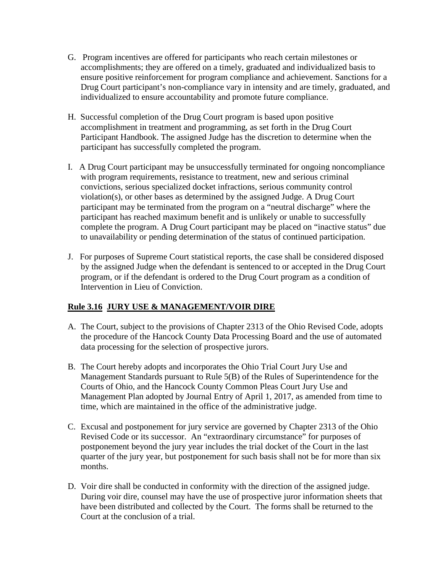- G. Program incentives are offered for participants who reach certain milestones or accomplishments; they are offered on a timely, graduated and individualized basis to ensure positive reinforcement for program compliance and achievement. Sanctions for a Drug Court participant's non-compliance vary in intensity and are timely, graduated, and individualized to ensure accountability and promote future compliance.
- H. Successful completion of the Drug Court program is based upon positive accomplishment in treatment and programming, as set forth in the Drug Court Participant Handbook. The assigned Judge has the discretion to determine when the participant has successfully completed the program.
- I. A Drug Court participant may be unsuccessfully terminated for ongoing noncompliance with program requirements, resistance to treatment, new and serious criminal convictions, serious specialized docket infractions, serious community control violation(s), or other bases as determined by the assigned Judge. A Drug Court participant may be terminated from the program on a "neutral discharge" where the participant has reached maximum benefit and is unlikely or unable to successfully complete the program. A Drug Court participant may be placed on "inactive status" due to unavailability or pending determination of the status of continued participation.
- J. For purposes of Supreme Court statistical reports, the case shall be considered disposed by the assigned Judge when the defendant is sentenced to or accepted in the Drug Court program, or if the defendant is ordered to the Drug Court program as a condition of Intervention in Lieu of Conviction.

# **Rule 3.16 JURY USE & MANAGEMENT/VOIR DIRE**

- A. The Court, subject to the provisions of Chapter 2313 of the Ohio Revised Code, adopts the procedure of the Hancock County Data Processing Board and the use of automated data processing for the selection of prospective jurors.
- B. The Court hereby adopts and incorporates the Ohio Trial Court Jury Use and Management Standards pursuant to Rule 5(B) of the Rules of Superintendence for the Courts of Ohio, and the Hancock County Common Pleas Court Jury Use and Management Plan adopted by Journal Entry of April 1, 2017, as amended from time to time, which are maintained in the office of the administrative judge.
- C. Excusal and postponement for jury service are governed by Chapter 2313 of the Ohio Revised Code or its successor. An "extraordinary circumstance" for purposes of postponement beyond the jury year includes the trial docket of the Court in the last quarter of the jury year, but postponement for such basis shall not be for more than six months.
- D. Voir dire shall be conducted in conformity with the direction of the assigned judge. During voir dire, counsel may have the use of prospective juror information sheets that have been distributed and collected by the Court. The forms shall be returned to the Court at the conclusion of a trial.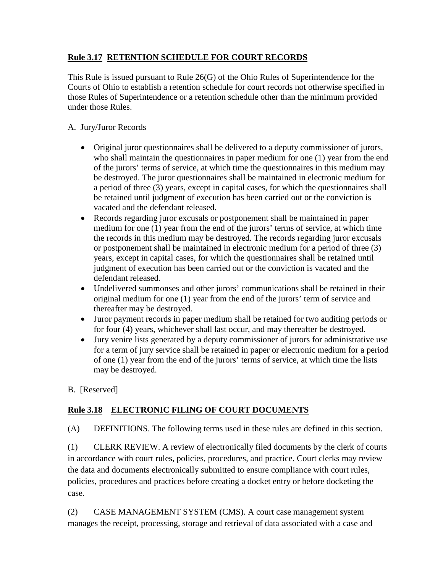# **Rule 3.17 RETENTION SCHEDULE FOR COURT RECORDS**

This Rule is issued pursuant to Rule 26(G) of the Ohio Rules of Superintendence for the Courts of Ohio to establish a retention schedule for court records not otherwise specified in those Rules of Superintendence or a retention schedule other than the minimum provided under those Rules.

### A. Jury/Juror Records

- Original juror questionnaires shall be delivered to a deputy commissioner of jurors, who shall maintain the questionnaires in paper medium for one (1) year from the end of the jurors' terms of service, at which time the questionnaires in this medium may be destroyed. The juror questionnaires shall be maintained in electronic medium for a period of three (3) years, except in capital cases, for which the questionnaires shall be retained until judgment of execution has been carried out or the conviction is vacated and the defendant released.
- Records regarding juror excusals or postponement shall be maintained in paper medium for one (1) year from the end of the jurors' terms of service, at which time the records in this medium may be destroyed. The records regarding juror excusals or postponement shall be maintained in electronic medium for a period of three (3) years, except in capital cases, for which the questionnaires shall be retained until judgment of execution has been carried out or the conviction is vacated and the defendant released.
- Undelivered summonses and other jurors' communications shall be retained in their original medium for one (1) year from the end of the jurors' term of service and thereafter may be destroyed.
- Juror payment records in paper medium shall be retained for two auditing periods or for four (4) years, whichever shall last occur, and may thereafter be destroyed.
- Jury venire lists generated by a deputy commissioner of jurors for administrative use for a term of jury service shall be retained in paper or electronic medium for a period of one (1) year from the end of the jurors' terms of service, at which time the lists may be destroyed.
- B. [Reserved]

# **Rule 3.18 ELECTRONIC FILING OF COURT DOCUMENTS**

(A) DEFINITIONS. The following terms used in these rules are defined in this section.

(1) CLERK REVIEW. A review of electronically filed documents by the clerk of courts in accordance with court rules, policies, procedures, and practice. Court clerks may review the data and documents electronically submitted to ensure compliance with court rules, policies, procedures and practices before creating a docket entry or before docketing the case.

(2) CASE MANAGEMENT SYSTEM (CMS). A court case management system manages the receipt, processing, storage and retrieval of data associated with a case and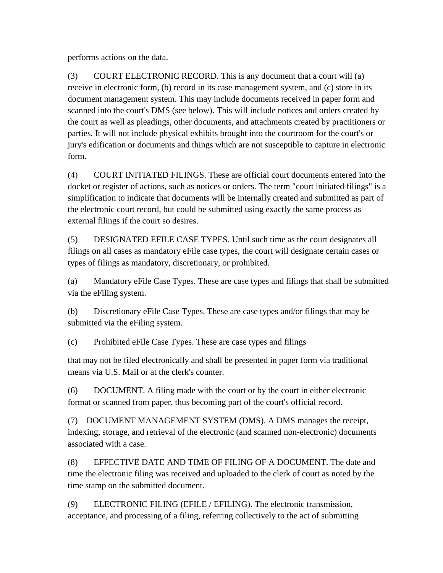performs actions on the data.

(3) COURT ELECTRONIC RECORD. This is any document that a court will (a) receive in electronic form, (b) record in its case management system, and (c) store in its document management system. This may include documents received in paper form and scanned into the court's DMS (see below). This will include notices and orders created by the court as well as pleadings, other documents, and attachments created by practitioners or parties. It will not include physical exhibits brought into the courtroom for the court's or jury's edification or documents and things which are not susceptible to capture in electronic form.

(4) COURT INITIATED FILINGS. These are official court documents entered into the docket or register of actions, such as notices or orders. The term "court initiated filings" is a simplification to indicate that documents will be internally created and submitted as part of the electronic court record, but could be submitted using exactly the same process as external filings if the court so desires.

(5) DESIGNATED EFILE CASE TYPES. Until such time as the court designates all filings on all cases as mandatory eFile case types, the court will designate certain cases or types of filings as mandatory, discretionary, or prohibited.

(a) Mandatory eFile Case Types. These are case types and filings that shall be submitted via the eFiling system.

(b) Discretionary eFile Case Types. These are case types and/or filings that may be submitted via the eFiling system.

(c) Prohibited eFile Case Types. These are case types and filings

that may not be filed electronically and shall be presented in paper form via traditional means via U.S. Mail or at the clerk's counter.

(6) DOCUMENT. A filing made with the court or by the court in either electronic format or scanned from paper, thus becoming part of the court's official record.

(7) DOCUMENT MANAGEMENT SYSTEM (DMS). A DMS manages the receipt, indexing, storage, and retrieval of the electronic (and scanned non-electronic) documents associated with a case.

(8) EFFECTIVE DATE AND TIME OF FILING OF A DOCUMENT. The date and time the electronic filing was received and uploaded to the clerk of court as noted by the time stamp on the submitted document.

(9) ELECTRONIC FILING (EFILE / EFILING). The electronic transmission, acceptance, and processing of a filing, referring collectively to the act of submitting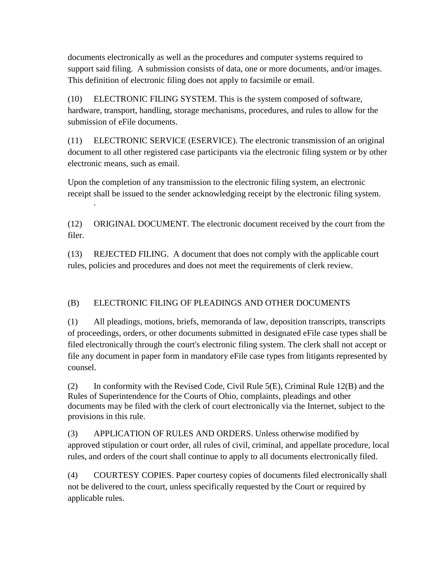documents electronically as well as the procedures and computer systems required to support said filing. A submission consists of data, one or more documents, and/or images. This definition of electronic filing does not apply to facsimile or email.

(10) ELECTRONIC FILING SYSTEM. This is the system composed of software, hardware, transport, handling, storage mechanisms, procedures, and rules to allow for the submission of eFile documents.

(11) ELECTRONIC SERVICE (ESERVICE). The electronic transmission of an original document to all other registered case participants via the electronic filing system or by other electronic means, such as email.

Upon the completion of any transmission to the electronic filing system, an electronic receipt shall be issued to the sender acknowledging receipt by the electronic filing system.

·

(12) ORIGINAL DOCUMENT. The electronic document received by the court from the filer.

(13) REJECTED FILING. A document that does not comply with the applicable court rules, policies and procedures and does not meet the requirements of clerk review.

# (B) ELECTRONIC FILING OF PLEADINGS AND OTHER DOCUMENTS

(1) All pleadings, motions, briefs, memoranda of law, deposition transcripts, transcripts of proceedings, orders, or other documents submitted in designated eFile case types shall be filed electronically through the court's electronic filing system. The clerk shall not accept or file any document in paper form in mandatory eFile case types from litigants represented by counsel.

(2) In conformity with the Revised Code, Civil Rule 5(E), Criminal Rule 12(B) and the Rules of Superintendence for the Courts of Ohio, complaints, pleadings and other documents may be filed with the clerk of court electronically via the Internet, subject to the provisions in this rule.

(3) APPLICATION OF RULES AND ORDERS. Unless otherwise modified by approved stipulation or court order, all rules of civil, criminal, and appellate procedure, local rules, and orders of the court shall continue to apply to all documents electronically filed.

(4) COURTESY COPIES. Paper courtesy copies of documents filed electronically shall not be delivered to the court, unless specifically requested by the Court or required by applicable rules.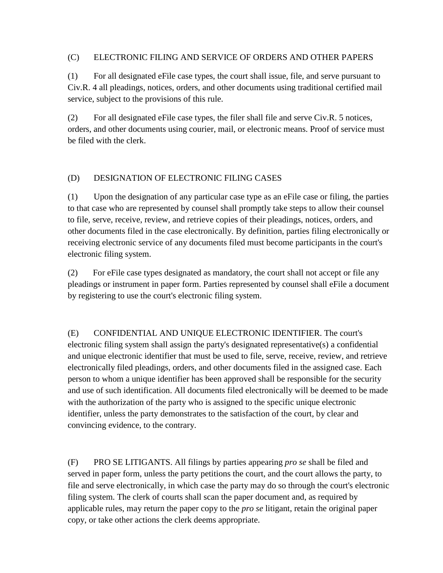#### (C) ELECTRONIC FILING AND SERVICE OF ORDERS AND OTHER PAPERS

(1) For all designated eFile case types, the court shall issue, file, and serve pursuant to Civ.R. 4 all pleadings, notices, orders, and other documents using traditional certified mail service, subject to the provisions of this rule.

(2) For all designated eFile case types, the filer shall file and serve Civ.R. 5 notices, orders, and other documents using courier, mail, or electronic means. Proof of service must be filed with the clerk.

### (D) DESIGNATION OF ELECTRONIC FILING CASES

(1) Upon the designation of any particular case type as an eFile case or filing, the parties to that case who are represented by counsel shall promptly take steps to allow their counsel to file, serve, receive, review, and retrieve copies of their pleadings, notices, orders, and other documents filed in the case electronically. By definition, parties filing electronically or receiving electronic service of any documents filed must become participants in the court's electronic filing system.

(2) For eFile case types designated as mandatory, the court shall not accept or file any pleadings or instrument in paper form. Parties represented by counsel shall eFile a document by registering to use the court's electronic filing system.

(E) CONFIDENTIAL AND UNIQUE ELECTRONIC IDENTIFIER. The court's electronic filing system shall assign the party's designated representative(s) a confidential and unique electronic identifier that must be used to file, serve, receive, review, and retrieve electronically filed pleadings, orders, and other documents filed in the assigned case. Each person to whom a unique identifier has been approved shall be responsible for the security and use of such identification. All documents filed electronically will be deemed to be made with the authorization of the party who is assigned to the specific unique electronic identifier, unless the party demonstrates to the satisfaction of the court, by clear and convincing evidence, to the contrary.

(F) PRO SE LITIGANTS. All filings by parties appearing *pro se* shall be filed and served in paper form, unless the party petitions the court, and the court allows the party, to file and serve electronically, in which case the party may do so through the court's electronic filing system. The clerk of courts shall scan the paper document and, as required by applicable rules, may return the paper copy to the *pro se* litigant, retain the original paper copy, or take other actions the clerk deems appropriate.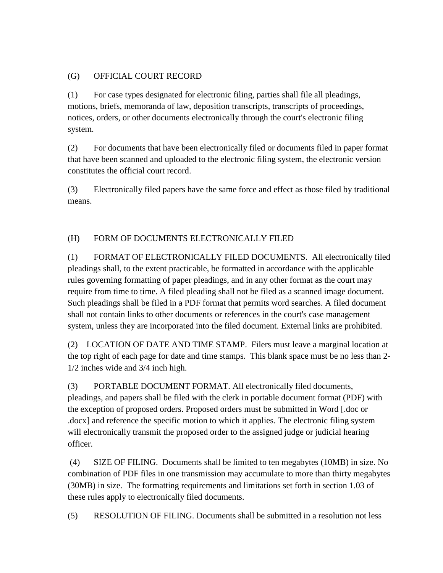## (G) OFFICIAL COURT RECORD

(1) For case types designated for electronic filing, parties shall file all pleadings, motions, briefs, memoranda of law, deposition transcripts, transcripts of proceedings, notices, orders, or other documents electronically through the court's electronic filing system.

(2) For documents that have been electronically filed or documents filed in paper format that have been scanned and uploaded to the electronic filing system, the electronic version constitutes the official court record.

(3) Electronically filed papers have the same force and effect as those filed by traditional means.

# (H) FORM OF DOCUMENTS ELECTRONICALLY FILED

(1) FORMAT OF ELECTRONICALLY FILED DOCUMENTS. All electronically filed pleadings shall, to the extent practicable, be formatted in accordance with the applicable rules governing formatting of paper pleadings, and in any other format as the court may require from time to time. A filed pleading shall not be filed as a scanned image document. Such pleadings shall be filed in a PDF format that permits word searches. A filed document shall not contain links to other documents or references in the court's case management system, unless they are incorporated into the filed document. External links are prohibited.

(2) LOCATION OF DATE AND TIME STAMP. Filers must leave a marginal location at the top right of each page for date and time stamps. This blank space must be no less than 2- 1/2 inches wide and 3/4 inch high.

(3) PORTABLE DOCUMENT FORMAT. All electronically filed documents, pleadings, and papers shall be filed with the clerk in portable document format (PDF) with the exception of proposed orders. Proposed orders must be submitted in Word [.doc or .docx] and reference the specific motion to which it applies. The electronic filing system will electronically transmit the proposed order to the assigned judge or judicial hearing officer.

(4) SIZE OF FILING. Documents shall be limited to ten megabytes (10MB) in size. No combination of PDF files in one transmission may accumulate to more than thirty megabytes (30MB) in size. The formatting requirements and limitations set forth in section 1.03 of these rules apply to electronically filed documents.

(5) RESOLUTION OF FILING. Documents shall be submitted in a resolution not less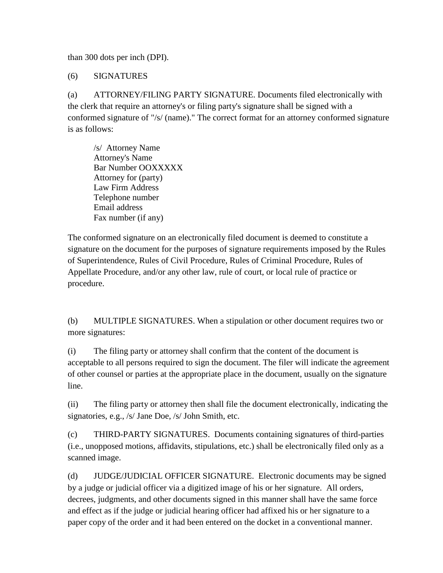than 300 dots per inch (DPI).

(6) SIGNATURES

(a) ATTORNEY/FILING PARTY SIGNATURE. Documents filed electronically with the clerk that require an attorney's or filing party's signature shall be signed with a conformed signature of "/s/ (name)." The correct format for an attorney conformed signature is as follows:

/s/ Attorney Name Attorney's Name Bar Number OOXXXXX Attorney for (party) Law Firm Address Telephone number Email address Fax number (if any)

The conformed signature on an electronically filed document is deemed to constitute a signature on the document for the purposes of signature requirements imposed by the Rules of Superintendence, Rules of Civil Procedure, Rules of Criminal Procedure, Rules of Appellate Procedure, and/or any other law, rule of court, or local rule of practice or procedure.

(b) MULTIPLE SIGNATURES. When a stipulation or other document requires two or more signatures:

(i) The filing party or attorney shall confirm that the content of the document is acceptable to all persons required to sign the document. The filer will indicate the agreement of other counsel or parties at the appropriate place in the document, usually on the signature line.

(ii) The filing party or attorney then shall file the document electronically, indicating the signatories, e.g., /s/ Jane Doe, /s/ John Smith, etc.

(c) THIRD-PARTY SIGNATURES. Documents containing signatures of third-parties (i.e., unopposed motions, affidavits, stipulations, etc.) shall be electronically filed only as a scanned image.

(d) JUDGE/JUDICIAL OFFICER SIGNATURE. Electronic documents may be signed by a judge or judicial officer via a digitized image of his or her signature. All orders, decrees, judgments, and other documents signed in this manner shall have the same force and effect as if the judge or judicial hearing officer had affixed his or her signature to a paper copy of the order and it had been entered on the docket in a conventional manner.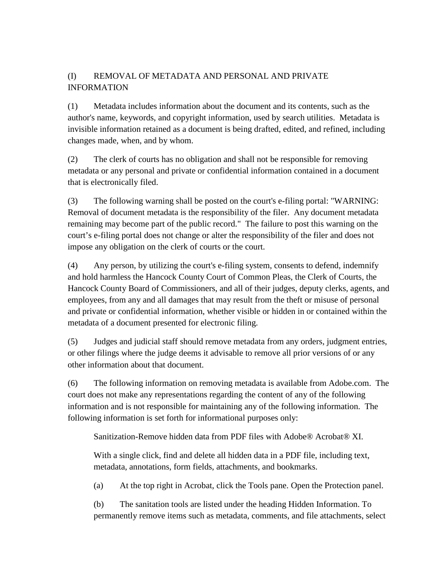# (I) REMOVAL OF METADATA AND PERSONAL AND PRIVATE INFORMATION

(1) Metadata includes information about the document and its contents, such as the author's name, keywords, and copyright information, used by search utilities. Metadata is invisible information retained as a document is being drafted, edited, and refined, including changes made, when, and by whom.

(2) The clerk of courts has no obligation and shall not be responsible for removing metadata or any personal and private or confidential information contained in a document that is electronically filed.

(3) The following warning shall be posted on the court's e-filing portal: "WARNING: Removal of document metadata is the responsibility of the filer. Any document metadata remaining may become part of the public record." The failure to post this warning on the court's e-filing portal does not change or alter the responsibility of the filer and does not impose any obligation on the clerk of courts or the court.

(4) Any person, by utilizing the court's e-filing system, consents to defend, indemnify and hold harmless the Hancock County Court of Common Pleas, the Clerk of Courts, the Hancock County Board of Commissioners, and all of their judges, deputy clerks, agents, and employees, from any and all damages that may result from the theft or misuse of personal and private or confidential information, whether visible or hidden in or contained within the metadata of a document presented for electronic filing.

(5) Judges and judicial staff should remove metadata from any orders, judgment entries, or other filings where the judge deems it advisable to remove all prior versions of or any other information about that document.

(6) The following information on removing metadata is available from Adobe.com. The court does not make any representations regarding the content of any of the following information and is not responsible for maintaining any of the following information. The following information is set forth for informational purposes only:

Sanitization-Remove hidden data from PDF files with Adobe® Acrobat® XI.

With a single click, find and delete all hidden data in a PDF file, including text, metadata, annotations, form fields, attachments, and bookmarks.

(a) At the top right in Acrobat, click the Tools pane. Open the Protection panel.

(b) The sanitation tools are listed under the heading Hidden Information. To permanently remove items such as metadata, comments, and file attachments, select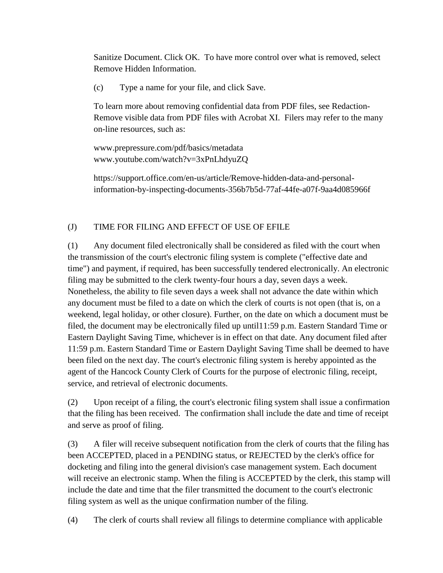Sanitize Document. Click OK. To have more control over what is removed, select Remove Hidden Information.

(c) Type a name for your file, and click Save.

To learn more about removing confidential data from PDF files, see Redaction-Remove visible data from PDF files with Acrobat XI. Filers may refer to the many on-line resources, such as:

www.prepressure.com/pdf/basics/metadata www.youtube.com/watch?v=3xPnLhdyuZQ

https://support.office.com/en-us/article/Remove-hidden-data-and-personalinformation-by-inspecting-documents-356b7b5d-77af-44fe-a07f-9aa4d085966f

# (J) TIME FOR FILING AND EFFECT OF USE OF EFILE

(1) Any document filed electronically shall be considered as filed with the court when the transmission of the court's electronic filing system is complete ("effective date and time") and payment, if required, has been successfully tendered electronically. An electronic filing may be submitted to the clerk twenty-four hours a day, seven days a week. Nonetheless, the ability to file seven days a week shall not advance the date within which any document must be filed to a date on which the clerk of courts is not open (that is, on a weekend, legal holiday, or other closure). Further, on the date on which a document must be filed, the document may be electronically filed up until11:59 p.m. Eastern Standard Time or Eastern Daylight Saving Time, whichever is in effect on that date. Any document filed after 11:59 p.m. Eastern Standard Time or Eastern Daylight Saving Time shall be deemed to have been filed on the next day. The court's electronic filing system is hereby appointed as the agent of the Hancock County Clerk of Courts for the purpose of electronic filing, receipt, service, and retrieval of electronic documents.

(2) Upon receipt of a filing, the court's electronic filing system shall issue a confirmation that the filing has been received. The confirmation shall include the date and time of receipt and serve as proof of filing.

(3) A filer will receive subsequent notification from the clerk of courts that the filing has been ACCEPTED, placed in a PENDING status, or REJECTED by the clerk's office for docketing and filing into the general division's case management system. Each document will receive an electronic stamp. When the filing is ACCEPTED by the clerk, this stamp will include the date and time that the filer transmitted the document to the court's electronic filing system as well as the unique confirmation number of the filing.

(4) The clerk of courts shall review all filings to determine compliance with applicable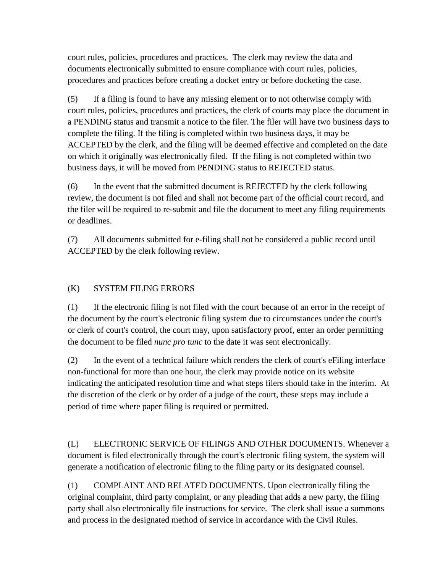court rules, policies, procedures and practices. The clerk may review the data and documents electronically submitted to ensure compliance with court rules, policies, procedures and practices before creating a docket entry or before docketing the case.

(5) If a filing is found to have any missing element or to not otherwise comply with court rules, policies, procedures and practices, the clerk of courts may place the document in a PENDING status and transmit a notice to the filer. The filer will have two business days to complete the filing. If the filing is completed within two business days, it may be ACCEPTED by the clerk, and the filing will be deemed effective and completed on the date on which it originally was electronically filed. If the filing is not completed within two business days, it will be moved from PENDING status to REJECTED status.

(6) In the event that the submitted document is REJECTED by the clerk following review, the document is not filed and shall not become part of the official court record, and the filer will be required to re-submit and file the document to meet any filing requirements or deadlines.

(7) All documents submitted for e-filing shall not be considered a public record until ACCEPTED by the clerk following review.

# (K) SYSTEM FILING ERRORS

(1) If the electronic filing is not filed with the court because of an error in the receipt of the document by the court's electronic filing system due to circumstances under the court's or clerk of court's control, the court may, upon satisfactory proof, enter an order permitting the document to be filed *nunc pro tunc* to the date it was sent electronically.

(2) In the event of a technical failure which renders the clerk of court's eFiling interface non-functional for more than one hour, the clerk may provide notice on its website indicating the anticipated resolution time and what steps filers should take in the interim. At the discretion of the clerk or by order of a judge of the court, these steps may include a period of time where paper filing is required or permitted.

(L) ELECTRONIC SERVICE OF FILINGS AND OTHER DOCUMENTS. Whenever a document is filed electronically through the court's electronic filing system, the system will generate a notification of electronic filing to the filing party or its designated counsel.

(1) COMPLAINT AND RELATED DOCUMENTS. Upon electronically filing the original complaint, third party complaint, or any pleading that adds a new party, the filing party shall also electronically file instructions for service. The clerk shall issue a summons and process in the designated method of service in accordance with the Civil Rules.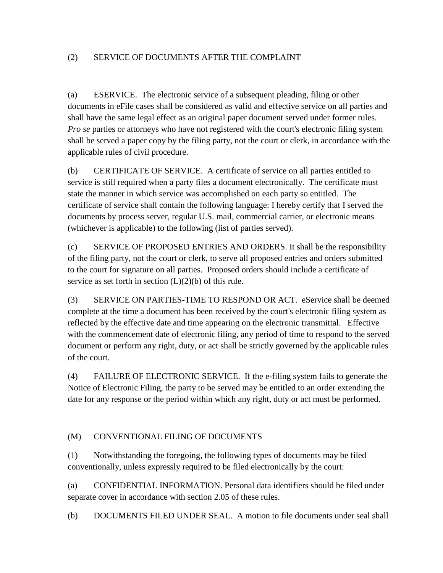### (2) SERVICE OF DOCUMENTS AFTER THE COMPLAINT

(a) ESERVICE. The electronic service of a subsequent pleading, filing or other documents in eFile cases shall be considered as valid and effective service on all parties and shall have the same legal effect as an original paper document served under former rules. *Pro se* parties or attorneys who have not registered with the court's electronic filing system shall be served a paper copy by the filing party, not the court or clerk, in accordance with the applicable rules of civil procedure.

(b) CERTIFICATE OF SERVICE. A certificate of service on all parties entitled to service is still required when a party files a document electronically. The certificate must state the manner in which service was accomplished on each party so entitled. The certificate of service shall contain the following language: I hereby certify that I served the documents by process server, regular U.S. mail, commercial carrier, or electronic means (whichever is applicable) to the following (list of parties served).

(c) SERVICE OF PROPOSED ENTRIES AND ORDERS. It shall be the responsibility of the filing party, not the court or clerk, to serve all proposed entries and orders submitted to the court for signature on all parties. Proposed orders should include a certificate of service as set forth in section  $(L)(2)(b)$  of this rule.

(3) SERVICE ON PARTIES-TIME TO RESPOND OR ACT. eService shall be deemed complete at the time a document has been received by the court's electronic filing system as reflected by the effective date and time appearing on the electronic transmittal. Effective with the commencement date of electronic filing, any period of time to respond to the served document or perform any right, duty, or act shall be strictly governed by the applicable rules of the court.

(4) FAILURE OF ELECTRONIC SERVICE. If the e-filing system fails to generate the Notice of Electronic Filing, the party to be served may be entitled to an order extending the date for any response or the period within which any right, duty or act must be performed.

# (M) CONVENTIONAL FILING OF DOCUMENTS

(1) Notwithstanding the foregoing, the following types of documents may be filed conventionally, unless expressly required to be filed electronically by the court:

(a) CONFIDENTIAL INFORMATION. Personal data identifiers should be filed under separate cover in accordance with section 2.05 of these rules.

(b) DOCUMENTS FILED UNDER SEAL. A motion to file documents under seal shall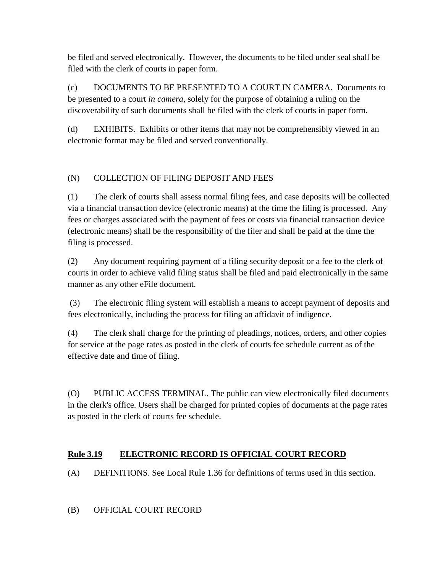be filed and served electronically. However, the documents to be filed under seal shall be filed with the clerk of courts in paper form.

(c) DOCUMENTS TO BE PRESENTED TO A COURT IN CAMERA. Documents to be presented to a court *in camera*, solely for the purpose of obtaining a ruling on the discoverability of such documents shall be filed with the clerk of courts in paper form.

(d) EXHIBITS. Exhibits or other items that may not be comprehensibly viewed in an electronic format may be filed and served conventionally.

# (N) COLLECTION OF FILING DEPOSIT AND FEES

(1) The clerk of courts shall assess normal filing fees, and case deposits will be collected via a financial transaction device (electronic means) at the time the filing is processed. Any fees or charges associated with the payment of fees or costs via financial transaction device (electronic means) shall be the responsibility of the filer and shall be paid at the time the filing is processed.

(2) Any document requiring payment of a filing security deposit or a fee to the clerk of courts in order to achieve valid filing status shall be filed and paid electronically in the same manner as any other eFile document.

(3) The electronic filing system will establish a means to accept payment of deposits and fees electronically, including the process for filing an affidavit of indigence.

(4) The clerk shall charge for the printing of pleadings, notices, orders, and other copies for service at the page rates as posted in the clerk of courts fee schedule current as of the effective date and time of filing.

(O) PUBLIC ACCESS TERMINAL. The public can view electronically filed documents in the clerk's office. Users shall be charged for printed copies of documents at the page rates as posted in the clerk of courts fee schedule.

# **Rule 3.19 ELECTRONIC RECORD IS OFFICIAL COURT RECORD**

(A) DEFINITIONS. See Local Rule 1.36 for definitions of terms used in this section.

# (B) OFFICIAL COURT RECORD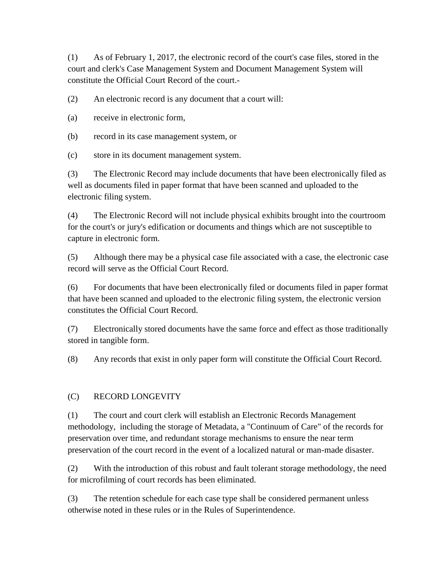(1) As of February 1, 2017, the electronic record of the court's case files, stored in the court and clerk's Case Management System and Document Management System will constitute the Official Court Record of the court.-

(2) An electronic record is any document that a court will:

- (a) receive in electronic form,
- (b) record in its case management system, or
- (c) store in its document management system.

(3) The Electronic Record may include documents that have been electronically filed as well as documents filed in paper format that have been scanned and uploaded to the electronic filing system.

(4) The Electronic Record will not include physical exhibits brought into the courtroom for the court's or jury's edification or documents and things which are not susceptible to capture in electronic form.

(5) Although there may be a physical case file associated with a case, the electronic case record will serve as the Official Court Record.

(6) For documents that have been electronically filed or documents filed in paper format that have been scanned and uploaded to the electronic filing system, the electronic version constitutes the Official Court Record.

(7) Electronically stored documents have the same force and effect as those traditionally stored in tangible form.

(8) Any records that exist in only paper form will constitute the Official Court Record.

#### (C) RECORD LONGEVITY

(1) The court and court clerk will establish an Electronic Records Management methodology, including the storage of Metadata, a "Continuum of Care" of the records for preservation over time, and redundant storage mechanisms to ensure the near term preservation of the court record in the event of a localized natural or man-made disaster.

(2) With the introduction of this robust and fault tolerant storage methodology, the need for microfilming of court records has been eliminated.

(3) The retention schedule for each case type shall be considered permanent unless otherwise noted in these rules or in the Rules of Superintendence.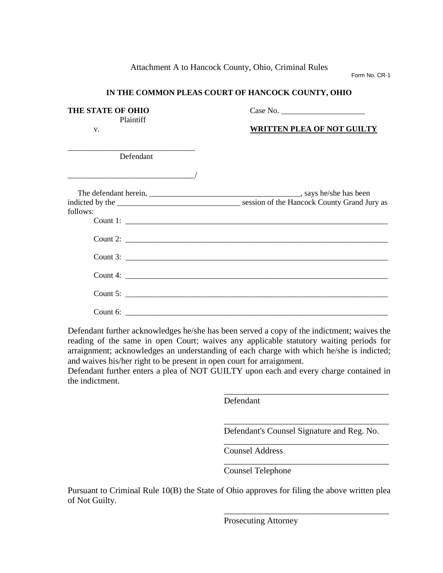Attachment A to Hancock County, Ohio, Criminal Rules

Form No. CR-1

### **IN THE COMMON PLEAS COURT OF HANCOCK COUNTY, OHIO**

| THE STATE OF OHIO<br>Plaintiff | Case No.<br><b>WRITTEN PLEA OF NOT GUILTY</b> |  |
|--------------------------------|-----------------------------------------------|--|
| V.                             |                                               |  |
| Defendant                      |                                               |  |
|                                |                                               |  |
| follows:                       |                                               |  |
|                                |                                               |  |
|                                |                                               |  |
|                                |                                               |  |
|                                |                                               |  |
|                                |                                               |  |
|                                |                                               |  |

Defendant further acknowledges he/she has been served a copy of the indictment; waives the reading of the same in open Court; waives any applicable statutory waiting periods for arraignment; acknowledges an understanding of each charge with which he/she is indicted; and waives his/her right to be present in open court for arraignment.

Defendant further enters a plea of NOT GUILTY upon each and every charge contained in the indictment.

Defendant

\_\_\_\_\_\_\_\_\_\_\_\_\_\_\_\_\_\_\_\_\_\_\_\_\_\_\_\_\_\_\_\_\_\_\_\_\_\_ Defendant's Counsel Signature and Reg. No.

\_\_\_\_\_\_\_\_\_\_\_\_\_\_\_\_\_\_\_\_\_\_\_\_\_\_\_\_\_\_\_\_\_\_\_\_\_\_

\_\_\_\_\_\_\_\_\_\_\_\_\_\_\_\_\_\_\_\_\_\_\_\_\_\_\_\_\_\_\_\_\_\_\_\_\_\_

\_\_\_\_\_\_\_\_\_\_\_\_\_\_\_\_\_\_\_\_\_\_\_\_\_\_\_\_\_\_\_\_\_\_\_\_\_\_

\_\_\_\_\_\_\_\_\_\_\_\_\_\_\_\_\_\_\_\_\_\_\_\_\_\_\_\_\_\_\_\_\_\_\_\_\_\_

Counsel Address

Counsel Telephone

Pursuant to Criminal Rule 10(B) the State of Ohio approves for filing the above written plea of Not Guilty.

Prosecuting Attorney